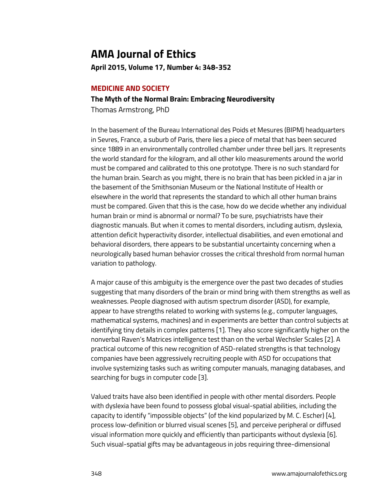# **AMA Journal of Ethics**

**April 2015, Volume 17, Number 4: 348-352**

### **MEDICINE AND SOCIETY**

# **The Myth of the Normal Brain: Embracing Neurodiversity**

Thomas Armstrong, PhD

In the basement of the Bureau International des Poids et Mesures (BIPM) headquarters in Sevres, France, a suburb of Paris, there lies a piece of metal that has been secured since 1889 in an environmentally controlled chamber under three bell jars. It represents the world standard for the kilogram, and all other kilo measurements around the world must be compared and calibrated to this one prototype. There is no such standard for the human brain. Search as you might, there is no brain that has been pickled in a jar in the basement of the Smithsonian Museum or the National Institute of Health or elsewhere in the world that represents the standard to which all other human brains must be compared. Given that this is the case, how do we decide whether any individual human brain or mind is abnormal or normal? To be sure, psychiatrists have their diagnostic manuals. But when it comes to mental disorders, including autism, dyslexia, attention deficit hyperactivity disorder, intellectual disabilities, and even emotional and behavioral disorders, there appears to be substantial uncertainty concerning when a neurologically based human behavior crosses the critical threshold from normal human variation to pathology.

A major cause of this ambiguity is the emergence over the past two decades of studies suggesting that many disorders of the brain or mind bring with them strengths as well as weaknesses. People diagnosed with autism spectrum disorder (ASD), for example, appear to have strengths related to working with systems (e.g., computer languages, mathematical systems, machines) and in experiments are better than control subjects at identifying tiny details in complex patterns [1]. They also score significantly higher on the nonverbal Raven's Matrices intelligence test than on the verbal Wechsler Scales [2]. A practical outcome of this new recognition of ASD-related strengths is that technology companies have been aggressively recruiting people with ASD for occupations that involve systemizing tasks such as writing computer manuals, managing databases, and searching for bugs in computer code [3].

Valued traits have also been identified in people with other mental disorders. People with dyslexia have been found to possess global visual-spatial abilities, including the capacity to identify "impossible objects" (of the kind popularized by M. C. Escher) [4], process low-definition or blurred visual scenes [5], and perceive peripheral or diffused visual information more quickly and efficiently than participants without dyslexia [6]. Such visual-spatial gifts may be advantageous in jobs requiring three-dimensional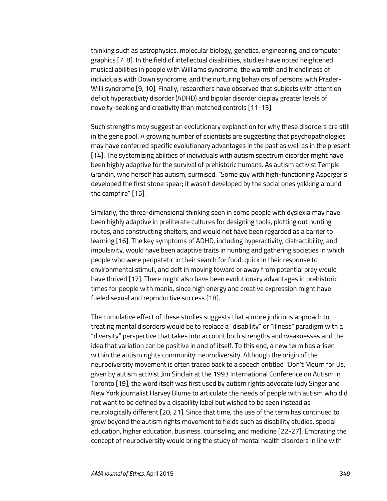thinking such as astrophysics, molecular biology, genetics, engineering, and computer graphics [7, 8]. In the field of intellectual disabilities, studies have noted heightened musical abilities in people with Williams syndrome, the warmth and friendliness of individuals with Down syndrome, and the nurturing behaviors of persons with Prader-Willi syndrome [9, 10]. Finally, researchers have observed that subjects with attention deficit hyperactivity disorder (ADHD) and bipolar disorder display greater levels of novelty-seeking and creativity than matched controls [11-13].

Such strengths may suggest an evolutionary explanation for why these disorders are still in the gene pool. A growing number of scientists are suggesting that psychopathologies may have conferred specific evolutionary advantages in the past as well as in the present [14]. The systemizing abilities of individuals with autism spectrum disorder might have been highly adaptive for the survival of prehistoric humans. As autism activist Temple Grandin, who herself has autism, surmised: "Some guy with high-functioning Asperger's developed the first stone spear; it wasn't developed by the social ones yakking around the campfire" [15].

Similarly, the three-dimensional thinking seen in some people with dyslexia may have been highly adaptive in preliterate cultures for designing tools, plotting out hunting routes, and constructing shelters, and would not have been regarded as a barrier to learning [16]. The key symptoms of ADHD, including hyperactivity, distractibility, and impulsivity, would have been adaptive traits in hunting and gathering societies in which people who were peripatetic in their search for food, quick in their response to environmental stimuli, and deft in moving toward or away from potential prey would have thrived [17]. There might also have been evolutionary advantages in prehistoric times for people with mania, since high energy and creative expression might have fueled sexual and reproductive success [18].

The cumulative effect of these studies suggests that a more judicious approach to treating mental disorders would be to replace a "disability" or "illness" paradigm with a "diversity" perspective that takes into account both strengths and weaknesses and the idea that variation can be positive in and of itself. To this end, a new term has arisen within the autism rights community: neurodiversity. Although the origin of the neurodiversity movement is often traced back to a speech entitled "Don't Mourn for Us," given by autism activist Jim Sinclair at the 1993 International Conference on Autism in Toronto [19], the word itself was first used by autism rights advocate Judy Singer and New York journalist Harvey Blume to articulate the needs of people with autism who did not want to be defined by a disability label but wished to be seen instead as neurologically different [20, 21]. Since that time, the use of the term has continued to grow beyond the autism rights movement to fields such as disability studies, special education, higher education, business, counseling, and medicine [22-27]. Embracing the concept of neurodiversity would bring the study of mental health disorders in line with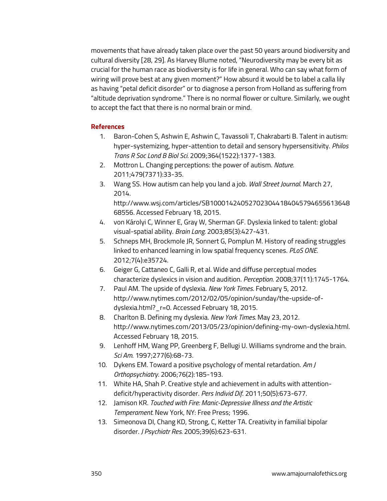movements that have already taken place over the past 50 years around biodiversity and cultural diversity [28, 29]. As Harvey Blume noted, "Neurodiversity may be every bit as crucial for the human race as biodiversity is for life in general. Who can say what form of wiring will prove best at any given moment?" How absurd it would be to label a calla lily as having "petal deficit disorder" or to diagnose a person from Holland as suffering from "altitude deprivation syndrome." There is no normal flower or culture. Similarly, we ought to accept the fact that there is no normal brain or mind.

#### **References**

- 1. Baron-Cohen S, Ashwin E, Ashwin C, Tavassoli T, Chakrabarti B. Talent in autism: hyper-systemizing, hyper-attention to detail and sensory hypersensitivity. *Philos Trans R Soc Lond B Biol Sci.* 2009;364(1522):1377-1383.
- 2. Mottron L. Changing perceptions: the power of autism. *Nature.*  2011;479(7371):33-35.
- 3. Wang SS. How autism can help you land a job. *Wall Street Journal*. March 27, 2014.

http://www.wsj.com/articles/SB100014240527023044184045794655613648 68556. Accessed February 18, 2015.

- 4. von Károlyi C, Winner E, Gray W, Sherman GF. Dyslexia linked to talent: global visual-spatial ability. *Brain Lang.* 2003;85(3):427-431.
- 5. Schneps MH, Brockmole JR, Sonnert G, Pomplun M. History of reading struggles linked to enhanced learning in low spatial frequency scenes. *PLoS ONE*. 2012;7(4):e35724.
- 6. Geiger G, Cattaneo C, Galli R, et al. Wide and diffuse perceptual modes characterize dyslexics in vision and audition. *Perception*. 2008;37(11):1745-1764.
- 7. Paul AM. The upside of dyslexia. *New York Times*. February 5, 2012. http://www.nytimes.com/2012/02/05/opinion/sunday/the-upside-ofdyslexia.html?\_r=0. Accessed February 18, 2015.
- 8. Charlton B. Defining my dyslexia. *New York Times.* May 23, 2012. http://www.nytimes.com/2013/05/23/opinion/defining-my-own-dyslexia.html. Accessed February 18, 2015.
- 9. Lenhoff HM, Wang PP, Greenberg F, Bellugi U. Williams syndrome and the brain. *Sci Am*. 1997;277(6):68-73.
- 10. Dykens EM. Toward a positive psychology of mental retardation. *Am J Orthopsychiatry*. 2006;76(2):185-193.
- 11. White HA, Shah P. Creative style and achievement in adults with attentiondeficit/hyperactivity disorder. *Pers Individ Dif*. 2011;50(5):673-677.
- 12. Jamison KR. *Touched with Fire: Manic-Depressive Illness and the Artistic Temperament.* New York, NY: Free Press; 1996.
- 13. Simeonova DI, Chang KD, Strong, C, Ketter TA. Creativity in familial bipolar disorder. *J Psychiatr Res.* 2005;39(6):623-631.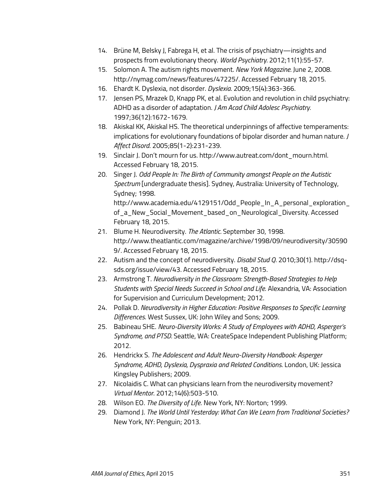- 14. Brüne M, Belsky J, Fabrega H, et al. The crisis of psychiatry—insights and prospects from evolutionary theory. *World Psychiatry.* 2012;11(1):55-57.
- 15. Solomon A. The autism rights movement. *New York Magazine.* June 2, 2008. http://nymag.com/news/features/47225/. Accessed February 18, 2015.
- 16. Ehardt K. Dyslexia, not disorder. *Dyslexia*. 2009;15(4):363-366.
- 17. Jensen PS, Mrazek D, Knapp PK, et al. Evolution and revolution in child psychiatry: ADHD as a disorder of adaptation. *J Am Acad Child Adolesc Psychiatry.* 1997;36(12):1672-1679.
- 18. Akiskal KK, Akiskal HS. The theoretical underpinnings of affective temperaments: implications for evolutionary foundations of bipolar disorder and human nature. *J Affect Disord*. 2005;85(1-2):231-239.
- 19. Sinclair J. Don't mourn for us. http://www.autreat.com/dont\_mourn.html. Accessed February 18, 2015.
- 20. Singer J. *Odd People In: The Birth of Community amongst People on the Autistic Spectrum* [undergraduate thesis]. Sydney, Australia: University of Technology, Sydney; 1998. http://www.academia.edu/4129151/Odd People In A personal exploration

of\_a\_New\_Social\_Movement\_based\_on\_Neurological\_Diversity. Accessed February 18, 2015.

- 21. Blume H. Neurodiversity. *The Atlantic.* September 30, 1998. http://www.theatlantic.com/magazine/archive/1998/09/neurodiversity/30590 9/. Accessed February 18, 2015.
- 22. Autism and the concept of neurodiversity. *Disabil Stud Q*. 2010;30(1). http://dsqsds.org/issue/view/43. Accessed February 18, 2015.
- 23. Armstrong T. *Neurodiversity in the Classroom: Strength-Based Strategies to Help Students with Special Needs Succeed in School and Life*. Alexandria, VA: Association for Supervision and Curriculum Development; 2012.
- 24. Pollak D. *Neurodiversity in Higher Education: Positive Responses to Specific Learning Differences*. West Sussex, UK: John Wiley and Sons; 2009.
- 25. Babineau SHE. *Neuro-Diversity Works: A Study of Employees with ADHD, Asperger's Syndrome, and PTSD.* Seattle, WA: CreateSpace Independent Publishing Platform; 2012.
- 26. Hendrickx S. *The Adolescent and Adult Neuro-Diversity Handbook: Asperger Syndrome, ADHD, Dyslexia, Dyspraxia and Related Conditions*. London, UK: Jessica Kingsley Publishers; 2009.
- 27. Nicolaidis C. What can physicians learn from the neurodiversity movement? *Virtual Mentor*. 2012;14(6):503-510.
- 28. Wilson EO. *The Diversity of Life*. New York, NY: Norton; 1999.
- 29. Diamond J. *The World Until Yesterday: What Can We Learn from Traditional Societies?* New York, NY: Penguin; 2013.